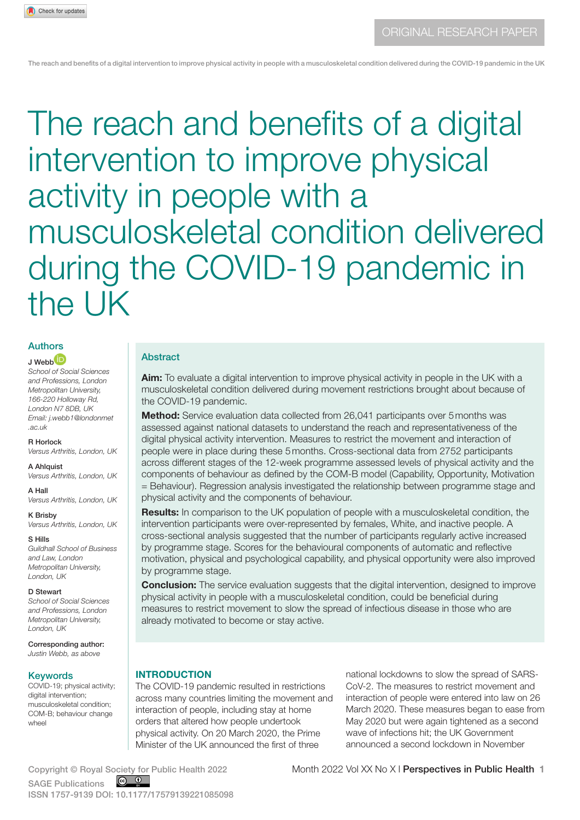# The reach and benefits of a digital intervention to improve physical activity in people with a musculoskeletal condition delivered during the COVID-19 pandemic in the UK

# Authors

# $J$  Webb $(D)$

*School of Social Sciences and Professions, London Metropolitan University, 166-220 Holloway Rd, London N7 8DB, UK Email: j.webb1@londonmet .ac.uk*

#### R Horlock

*Versus Arthritis, London, UK*

#### A Ahlquist *Versus Arthritis, London, UK*

A Hall *Versus Arthritis, London, UK*

K Brisby *Versus Arthritis, London, UK*

S Hills *Guildhall School of Business and Law, London Metropolitan University, London, UK*

#### D Stewart

*School of Social Sciences and Professions, London Metropolitan University, London, UK*

Corresponding author: *Justin Webb, as above* 

#### **Keywords**

COVID-19; physical activity; digital intervention: musculoskeletal condition; COM-B; behaviour change wheel

#### Abstract

Aim: To evaluate a digital intervention to improve physical activity in people in the UK with a musculoskeletal condition delivered during movement restrictions brought about because of the COVID-19 pandemic.

Method: Service evaluation data collected from 26,041 participants over 5 months was assessed against national datasets to understand the reach and representativeness of the digital physical activity intervention. Measures to restrict the movement and interaction of people were in place during these 5months. Cross-sectional data from 2752 participants across different stages of the 12-week programme assessed levels of physical activity and the components of behaviour as defined by the COM-B model (Capability, Opportunity, Motivation = Behaviour). Regression analysis investigated the relationship between programme stage and physical activity and the components of behaviour.

**Results:** In comparison to the UK population of people with a musculoskeletal condition, the intervention participants were over-represented by females, White, and inactive people. A cross-sectional analysis suggested that the number of participants regularly active increased by programme stage. Scores for the behavioural components of automatic and reflective motivation, physical and psychological capability, and physical opportunity were also improved by programme stage.

**Conclusion:** The service evaluation suggests that the digital intervention, designed to improve physical activity in people with a musculoskeletal condition, could be beneficial during measures to restrict movement to slow the spread of infectious disease in those who are already motivated to become or stay active.

#### **INTRODUCTION**

The COVID-19 pandemic resulted in restrictions across many countries limiting the movement and interaction of people, including stay at home orders that altered how people undertook physical activity. On 20 March 2020, the Prime Minister of the UK announced the first of three

national lockdowns to slow the spread of SARS-CoV-2. The measures to restrict movement and interaction of people were entered into law on 26 March 2020. These measures began to ease from May 2020 but were again tightened as a second wave of infections hit; the UK Government announced a second lockdown in November

 $\circ$   $\circ$ SAGE Publications ISSN 1757-9139 DOI: 10.1177/17579139221085098

Copyright © Royal Society for Public Health 2022 <br>
Month 2022 Vol XX No X I Perspectives in Public Health 1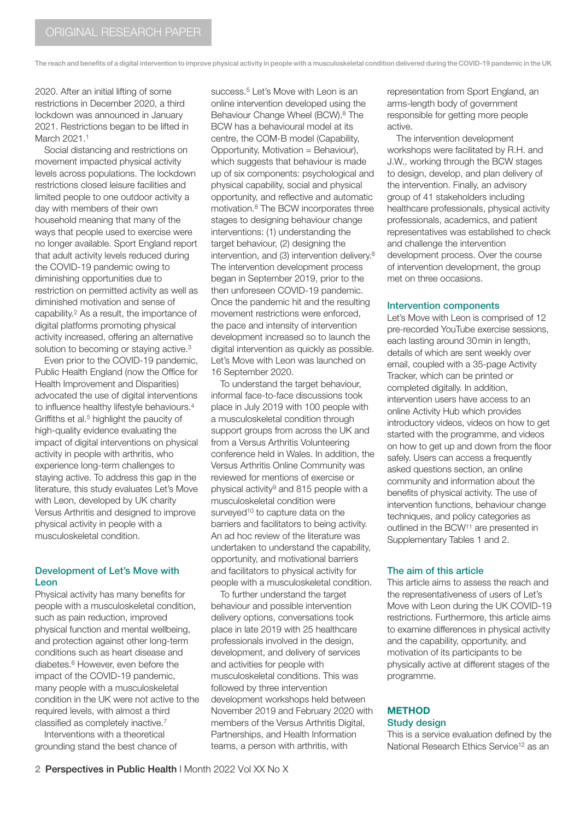2020. After an initial lifting of some restrictions in December 2020, a third lockdown was announced in January 2021. Restrictions began to be lifted in March 2021.<sup>1</sup>

Social distancing and restrictions on movement impacted physical activity levels across populations. The lockdown restrictions closed leisure facilities and limited people to one outdoor activity a day with members of their own household meaning that many of the ways that people used to exercise were no longer available. Sport England report that adult activity levels reduced during the COVID-19 pandemic owing to diminishing opportunities due to restriction on permitted activity as well as diminished motivation and sense of capability.2 As a result, the importance of digital platforms promoting physical activity increased, offering an alternative solution to becoming or staying active.<sup>3</sup>

Even prior to the COVID-19 pandemic, Public Health England (now the Office for Health Improvement and Disparities) advocated the use of digital interventions to influence healthy lifestyle behaviours.<sup>4</sup> Griffiths et al.<sup>5</sup> highlight the paucity of high-quality evidence evaluating the impact of digital interventions on physical activity in people with arthritis, who experience long-term challenges to staying active. To address this gap in the literature, this study evaluates Let's Move with Leon, developed by UK charity Versus Arthritis and designed to improve physical activity in people with a musculoskeletal condition.

# Development of Let's Move with Leon

Physical activity has many benefits for people with a musculoskeletal condition, such as pain reduction, improved physical function and mental wellbeing, and protection against other long-term conditions such as heart disease and diabetes.6 However, even before the impact of the COVID-19 pandemic, many people with a musculoskeletal condition in the UK were not active to the required levels, with almost a third classified as completely inactive.7

Interventions with a theoretical grounding stand the best chance of success.<sup>5</sup> Let's Move with Leon is an online intervention developed using the Behaviour Change Wheel (BCW).8 The BCW has a behavioural model at its centre, the COM-B model (Capability, Opportunity, Motivation = Behaviour), which suggests that behaviour is made up of six components: psychological and physical capability, social and physical opportunity, and reflective and automatic motivation.8 The BCW incorporates three stages to designing behaviour change interventions: (1) understanding the target behaviour, (2) designing the intervention, and (3) intervention delivery.8 The intervention development process began in September 2019, prior to the then unforeseen COVID-19 pandemic. Once the pandemic hit and the resulting movement restrictions were enforced, the pace and intensity of intervention development increased so to launch the digital intervention as quickly as possible. Let's Move with Leon was launched on 16 September 2020.

To understand the target behaviour, informal face-to-face discussions took place in July 2019 with 100 people with a musculoskeletal condition through support groups from across the UK and from a Versus Arthritis Volunteering conference held in Wales. In addition, the Versus Arthritis Online Community was reviewed for mentions of exercise or physical activity9 and 815 people with a musculoskeletal condition were surveyed<sup>10</sup> to capture data on the barriers and facilitators to being activity. An ad hoc review of the literature was undertaken to understand the capability, opportunity, and motivational barriers and facilitators to physical activity for people with a musculoskeletal condition.

To further understand the target behaviour and possible intervention delivery options, conversations took place in late 2019 with 25 healthcare professionals involved in the design, development, and delivery of services and activities for people with musculoskeletal conditions. This was followed by three intervention development workshops held between November 2019 and February 2020 with members of the Versus Arthritis Digital, Partnerships, and Health Information teams, a person with arthritis, with

representation from Sport England, an arms-length body of government responsible for getting more people active.

The intervention development workshops were facilitated by R.H. and J.W., working through the BCW stages to design, develop, and plan delivery of the intervention. Finally, an advisory group of 41 stakeholders including healthcare professionals, physical activity professionals, academics, and patient representatives was established to check and challenge the intervention development process. Over the course of intervention development, the group met on three occasions.

#### Intervention components

Let's Move with Leon is comprised of 12 pre-recorded YouTube exercise sessions, each lasting around 30min in length, details of which are sent weekly over email, coupled with a 35-page Activity Tracker, which can be printed or completed digitally. In addition, intervention users have access to an online Activity Hub which provides introductory videos, videos on how to get started with the programme, and videos on how to get up and down from the floor safely. Users can access a frequently asked questions section, an online community and information about the benefits of physical activity. The use of intervention functions, behaviour change techniques, and policy categories as outlined in the BCW11 are presented in Supplementary Tables 1 and 2.

#### The aim of this article

This article aims to assess the reach and the representativeness of users of Let's Move with Leon during the UK COVID-19 restrictions. Furthermore, this article aims to examine differences in physical activity and the capability, opportunity, and motivation of its participants to be physically active at different stages of the programme.

### **METHOD** Study design

This is a service evaluation defined by the National Research Ethics Service<sup>12</sup> as an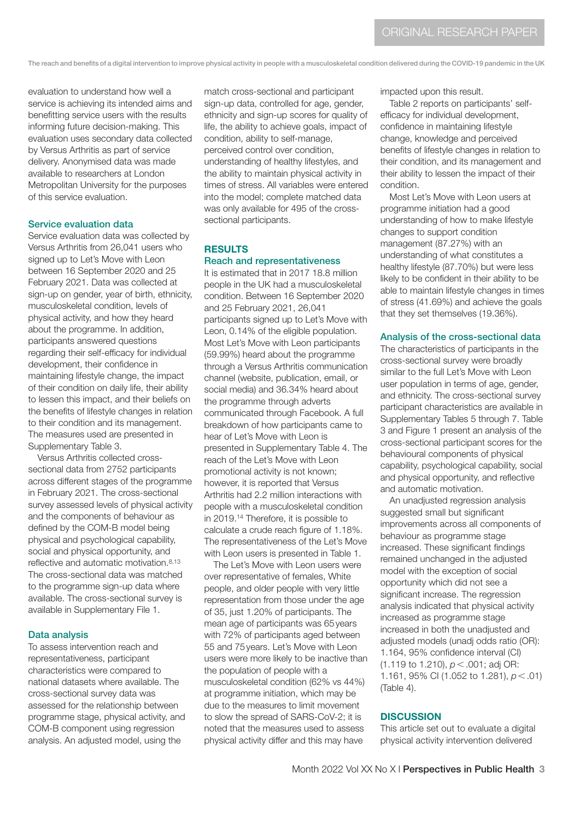evaluation to understand how well a service is achieving its intended aims and benefitting service users with the results informing future decision-making. This evaluation uses secondary data collected by Versus Arthritis as part of service delivery. Anonymised data was made available to researchers at London Metropolitan University for the purposes of this service evaluation.

#### Service evaluation data

Service evaluation data was collected by Versus Arthritis from 26,041 users who signed up to Let's Move with Leon between 16 September 2020 and 25 February 2021. Data was collected at sign-up on gender, year of birth, ethnicity, musculoskeletal condition, levels of physical activity, and how they heard about the programme. In addition, participants answered questions regarding their self-efficacy for individual development, their confidence in maintaining lifestyle change, the impact of their condition on daily life, their ability to lessen this impact, and their beliefs on the benefits of lifestyle changes in relation to their condition and its management. The measures used are presented in Supplementary Table 3.

Versus Arthritis collected crosssectional data from 2752 participants across different stages of the programme in February 2021. The cross-sectional survey assessed levels of physical activity and the components of behaviour as defined by the COM-B model being physical and psychological capability, social and physical opportunity, and reflective and automatic motivation.8,13 The cross-sectional data was matched to the programme sign-up data where available. The cross-sectional survey is available in Supplementary File 1.

#### Data analysis

To assess intervention reach and representativeness, participant characteristics were compared to national datasets where available. The cross-sectional survey data was assessed for the relationship between programme stage, physical activity, and COM-B component using regression analysis. An adjusted model, using the

match cross-sectional and participant sign-up data, controlled for age, gender, ethnicity and sign-up scores for quality of life, the ability to achieve goals, impact of condition, ability to self-manage, perceived control over condition, understanding of healthy lifestyles, and the ability to maintain physical activity in times of stress. All variables were entered into the model; complete matched data was only available for 495 of the crosssectional participants.

#### **RESULTS** Reach and representativeness

It is estimated that in 2017 18.8 million people in the UK had a musculoskeletal condition. Between 16 September 2020 and 25 February 2021, 26,041 participants signed up to Let's Move with Leon, 0.14% of the eligible population. Most Let's Move with Leon participants (59.99%) heard about the programme through a Versus Arthritis communication channel (website, publication, email, or social media) and 36.34% heard about the programme through adverts communicated through Facebook. A full breakdown of how participants came to hear of Let's Move with Leon is presented in Supplementary Table 4. The reach of the Let's Move with Leon promotional activity is not known; however, it is reported that Versus Arthritis had 2.2 million interactions with people with a musculoskeletal condition in 2019.14 Therefore, it is possible to calculate a crude reach figure of 1.18%. The representativeness of the Let's Move with Leon users is presented in Table 1.

The Let's Move with Leon users were over representative of females, White people, and older people with very little representation from those under the age of 35, just 1.20% of participants. The mean age of participants was 65years with 72% of participants aged between 55 and 75years. Let's Move with Leon users were more likely to be inactive than the population of people with a musculoskeletal condition (62% vs 44%) at programme initiation, which may be due to the measures to limit movement to slow the spread of SARS-CoV-2; it is noted that the measures used to assess physical activity differ and this may have

impacted upon this result.

Table 2 reports on participants' selfefficacy for individual development, confidence in maintaining lifestyle change, knowledge and perceived benefits of lifestyle changes in relation to their condition, and its management and their ability to lessen the impact of their condition.

Most Let's Move with Leon users at programme initiation had a good understanding of how to make lifestyle changes to support condition management (87.27%) with an understanding of what constitutes a healthy lifestyle (87.70%) but were less likely to be confident in their ability to be able to maintain lifestyle changes in times of stress (41.69%) and achieve the goals that they set themselves (19.36%).

#### Analysis of the cross-sectional data

The characteristics of participants in the cross-sectional survey were broadly similar to the full Let's Move with Leon user population in terms of age, gender, and ethnicity. The cross-sectional survey participant characteristics are available in Supplementary Tables 5 through 7. Table 3 and Figure 1 present an analysis of the cross-sectional participant scores for the behavioural components of physical capability, psychological capability, social and physical opportunity, and reflective and automatic motivation.

An unadjusted regression analysis suggested small but significant improvements across all components of behaviour as programme stage increased. These significant findings remained unchanged in the adjusted model with the exception of social opportunity which did not see a significant increase. The regression analysis indicated that physical activity increased as programme stage increased in both the unadjusted and adjusted models (unadj odds ratio (OR): 1.164, 95% confidence interval (CI) (1.119 to 1.210), *p*<.001; adj OR: 1.161, 95% CI (1.052 to 1.281), *p*<.01) (Table 4).

#### **DISCUSSION**

This article set out to evaluate a digital physical activity intervention delivered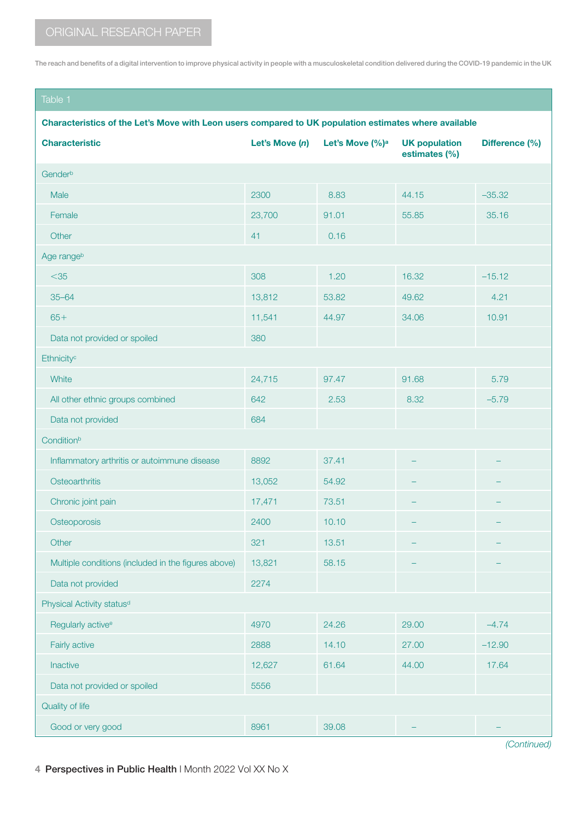# Table 1

### Characteristics of the Let's Move with Leon users compared to UK population estimates where available

| <b>Characteristic</b>                               | Let's Move (n) | Let's Move (%) <sup>a</sup> | <b>UK population</b><br>estimates (%) | Difference (%) |  |
|-----------------------------------------------------|----------------|-----------------------------|---------------------------------------|----------------|--|
| Genderb                                             |                |                             |                                       |                |  |
| Male                                                | 2300           | 8.83                        | 44.15                                 | $-35.32$       |  |
| Female                                              | 23,700         | 91.01                       | 55.85                                 | 35.16          |  |
| Other                                               | 41             | 0.16                        |                                       |                |  |
| Age rangeb                                          |                |                             |                                       |                |  |
| $<$ 35                                              | 308            | 1.20                        | 16.32                                 | $-15.12$       |  |
| $35 - 64$                                           | 13,812         | 53.82                       | 49.62                                 | 4.21           |  |
| $65+$                                               | 11,541         | 44.97                       | 34.06                                 | 10.91          |  |
| Data not provided or spoiled                        | 380            |                             |                                       |                |  |
| Ethnicity <sup>c</sup>                              |                |                             |                                       |                |  |
| White                                               | 24,715         | 97.47                       | 91.68                                 | 5.79           |  |
| All other ethnic groups combined                    | 642            | 2.53                        | 8.32                                  | $-5.79$        |  |
| Data not provided                                   | 684            |                             |                                       |                |  |
| Conditionb                                          |                |                             |                                       |                |  |
| Inflammatory arthritis or autoimmune disease        | 8892           | 37.41                       |                                       |                |  |
| Osteoarthritis                                      | 13,052         | 54.92                       |                                       |                |  |
| Chronic joint pain                                  | 17,471         | 73.51                       |                                       |                |  |
| Osteoporosis                                        | 2400           | 10.10                       |                                       |                |  |
| Other                                               | 321            | 13.51                       |                                       |                |  |
| Multiple conditions (included in the figures above) | 13,821         | 58.15                       |                                       |                |  |
| Data not provided                                   | 2274           |                             |                                       |                |  |
| Physical Activity status <sup>d</sup>               |                |                             |                                       |                |  |
| Regularly active <sup>e</sup>                       | 4970           | 24.26                       | 29.00                                 | $-4.74$        |  |
| Fairly active                                       | 2888           | 14.10                       | 27.00                                 | $-12.90$       |  |
| Inactive                                            | 12,627         | 61.64                       | 44.00                                 | 17.64          |  |
| Data not provided or spoiled                        | 5556           |                             |                                       |                |  |
| Quality of life                                     |                |                             |                                       |                |  |
| Good or very good                                   | 8961           | 39.08                       |                                       |                |  |
|                                                     |                |                             |                                       | (Continued)    |  |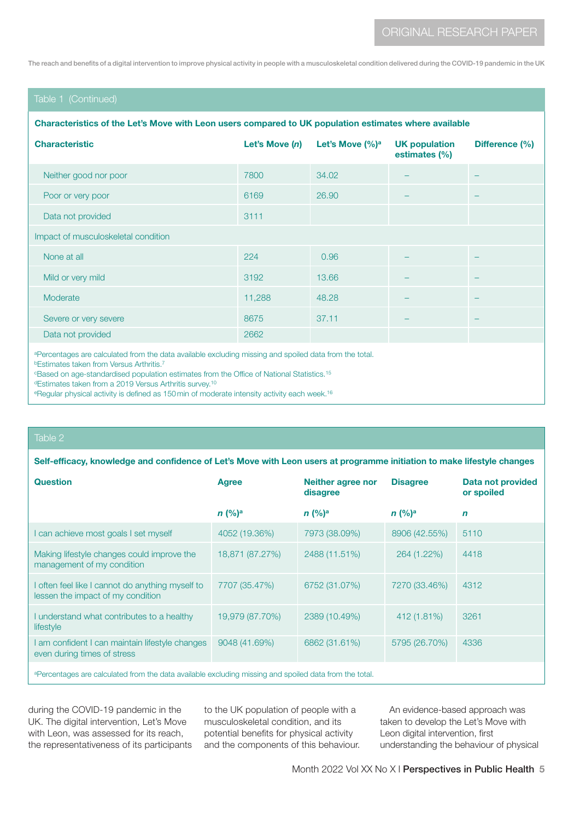# Table 1 (Continued)

#### Characteristics of the Let's Move with Leon users compared to UK population estimates where available

| <b>Characteristic</b>                                                                                  | Let's Move $(n)$ | Let's Move $(\%)^a$ | <b>UK population</b><br>estimates (%) | Difference (%) |  |
|--------------------------------------------------------------------------------------------------------|------------------|---------------------|---------------------------------------|----------------|--|
| Neither good nor poor                                                                                  | 7800             | 34.02               |                                       |                |  |
| Poor or very poor                                                                                      | 6169             | 26,90               |                                       |                |  |
| Data not provided                                                                                      | 3111             |                     |                                       |                |  |
| Impact of musculoskeletal condition                                                                    |                  |                     |                                       |                |  |
| None at all                                                                                            | 224              | 0.96                |                                       |                |  |
| Mild or very mild                                                                                      | 3192             | 13.66               |                                       |                |  |
| Moderate                                                                                               | 11,288           | 48.28               |                                       |                |  |
| Severe or very severe                                                                                  | 8675             | 37.11               |                                       |                |  |
| Data not provided                                                                                      | 2662             |                     |                                       |                |  |
| a Percentages are calculated from the data available excluding missing and spoiled data from the total |                  |                     |                                       |                |  |

spoiled data from the tot

**bEstimates taken from Versus Arthritis.**7

<sup>c</sup>Based on age-standardised population estimates from the Office of National Statistics.<sup>15</sup>

dEstimates taken from a 2019 Versus Arthritis survey.<sup>10</sup>

<sup>e</sup>Regular physical activity is defined as 150 min of moderate intensity activity each week.<sup>16</sup>

#### Table 2

Self-efficacy, knowledge and confidence of Let's Move with Leon users at programme initiation to make lifestyle changes

| <b>Question</b>                                                                                                 | <b>Agree</b>    | <b>Neither agree nor</b><br>disagree | <b>Disagree</b> | <b>Data not provided</b><br>or spoiled |  |
|-----------------------------------------------------------------------------------------------------------------|-----------------|--------------------------------------|-----------------|----------------------------------------|--|
|                                                                                                                 | $n (%)^a$       | $n (%)^a$                            | $n (%)^a$       | $\mathbf n$                            |  |
| I can achieve most goals I set myself                                                                           | 4052 (19.36%)   | 7973 (38.09%)                        | 8906 (42.55%)   | 5110                                   |  |
| Making lifestyle changes could improve the<br>management of my condition                                        | 18,871 (87.27%) | 2488 (11.51%)                        | 264 (1.22%)     | 4418                                   |  |
| often feel like I cannot do anything myself to<br>lessen the impact of my condition                             | 7707 (35.47%)   | 6752 (31.07%)                        | 7270 (33.46%)   | 4312                                   |  |
| I understand what contributes to a healthy<br>lifestyle                                                         | 19,979 (87.70%) | 2389 (10.49%)                        | 412 (1.81%)     | 3261                                   |  |
| I am confident I can maintain lifestyle changes<br>even during times of stress                                  | 9048 (41.69%)   | 6862 (31.61%)                        | 5795 (26.70%)   | 4336                                   |  |
| All considered and really the attraction and all alternative and all controls and constructions of a control of |                 |                                      |                 |                                        |  |

aPercentages are calculated from the data available excluding missing and spoiled data from the total.

during the COVID-19 pandemic in the UK. The digital intervention, Let's Move with Leon, was assessed for its reach, the representativeness of its participants to the UK population of people with a musculoskeletal condition, and its potential benefits for physical activity and the components of this behaviour.

An evidence-based approach was taken to develop the Let's Move with Leon digital intervention, first understanding the behaviour of physical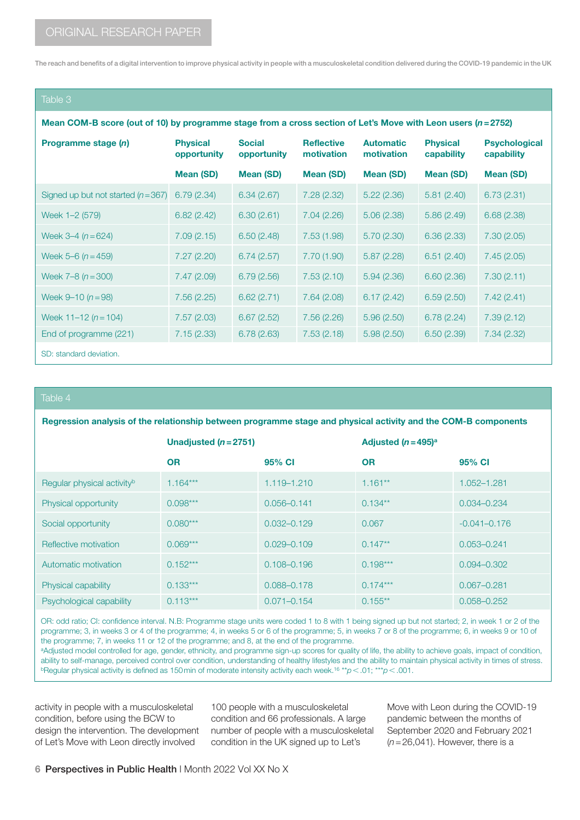### Table 3

Mean COM-B score (out of 10) by programme stage from a cross section of Let's Move with Leon users (*n*=2752)

| Programme stage (n)                 | <b>Physical</b><br>opportunity | <b>Social</b><br>opportunity | <b>Reflective</b><br>motivation | <b>Automatic</b><br>motivation | <b>Physical</b><br>capability | <b>Psychological</b><br>capability |
|-------------------------------------|--------------------------------|------------------------------|---------------------------------|--------------------------------|-------------------------------|------------------------------------|
|                                     | Mean (SD)                      | Mean (SD)                    | Mean (SD)                       | Mean (SD)                      | Mean (SD)                     | <b>Mean (SD)</b>                   |
| Signed up but not started $(n=367)$ | 6.79(2.34)                     | 6.34(2.67)                   | 7.28(2.32)                      | 5.22(2.36)                     | 5.81(2.40)                    | 6.73(2.31)                         |
| Week 1-2 (579)                      | 6.82(2.42)                     | 6.30(2.61)                   | 7.04(2.26)                      | 5.06(2.38)                     | 5.86(2.49)                    | 6.68(2.38)                         |
| Week $3-4(n=624)$                   | 7.09(2.15)                     | 6.50(2.48)                   | 7.53(1.98)                      | 5.70(2.30)                     | 6.36(2.33)                    | 7.30(2.05)                         |
| Week 5–6 $(n=459)$                  | 7.27(2.20)                     | 6.74(2.57)                   | 7.70 (1.90)                     | 5.87(2.28)                     | 6.51(2.40)                    | 7.45(2.05)                         |
| Week $7-8$ $(n=300)$                | 7.47(2.09)                     | 6.79(2.56)                   | 7.53(2.10)                      | 5.94(2.36)                     | 6.60(2.36)                    | 7.30(2.11)                         |
| Week $9 - 10(n = 98)$               | 7.56(2.25)                     | 6.62(2.71)                   | 7.64(2.08)                      | 6.17(2.42)                     | 6.59(2.50)                    | 7.42(2.41)                         |
| Week $11-12 (n=104)$                | 7.57(2.03)                     | 6.67(2.52)                   | 7.56(2.26)                      | 5.96(2.50)                     | 6.78(2.24)                    | 7.39(2.12)                         |
| End of programme (221)              | 7.15(2.33)                     | 6.78(2.63)                   | 7.53(2.18)                      | 5.98(2.50)                     | 6.50(2.39)                    | 7.34(2.32)                         |
| SD: standard deviation.             |                                |                              |                                 |                                |                               |                                    |

#### Table 4

Regression analysis of the relationship between programme stage and physical activity and the COM-B components

|                                        | Unadjusted $(n=2751)$ |                 | Adjusted $(n=495)^{a}$ |                  |
|----------------------------------------|-----------------------|-----------------|------------------------|------------------|
|                                        | <b>OR</b>             | 95% CI          | <b>OR</b>              | 95% CI           |
| Regular physical activity <sup>b</sup> | $1.164***$            | 1.119-1.210     | $1.161**$              | $1.052 - 1.281$  |
| Physical opportunity                   | $0.098***$            | $0.056 - 0.141$ | $0.134**$              | $0.034 - 0.234$  |
| Social opportunity                     | $0.080***$            | $0.032 - 0.129$ | 0.067                  | $-0.041 - 0.176$ |
| Reflective motivation                  | $0.069***$            | $0.029 - 0.109$ | $0.147**$              | $0.053 - 0.241$  |
| Automatic motivation                   | $0.152***$            | $0.108 - 0.196$ | $0.198***$             | $0.094 - 0.302$  |
| Physical capability                    | $0.133***$            | $0.088 - 0.178$ | $0.174***$             | $0.067 - 0.281$  |
| Psychological capability               | $0.113***$            | $0.071 - 0.154$ | $0.155***$             | $0.058 - 0.252$  |

OR: odd ratio; CI: confidence interval. N.B: Programme stage units were coded 1 to 8 with 1 being signed up but not started; 2, in week 1 or 2 of the programme; 3, in weeks 3 or 4 of the programme; 4, in weeks 5 or 6 of the programme; 5, in weeks 7 or 8 of the programme; 6, in weeks 9 or 10 of the programme; 7, in weeks 11 or 12 of the programme; and 8, at the end of the programme.

aAdjusted model controlled for age, gender, ethnicity, and programme sign-up scores for quality of life, the ability to achieve goals, impact of condition, ability to self-manage, perceived control over condition, understanding of healthy lifestyles and the ability to maintain physical activity in times of stress. bRegular physical activity is defined as 150min of moderate intensity activity each week.16 \*\**p*<.01; \*\*\**p*<.001.

activity in people with a musculoskeletal condition, before using the BCW to design the intervention. The development of Let's Move with Leon directly involved

100 people with a musculoskeletal condition and 66 professionals. A large number of people with a musculoskeletal condition in the UK signed up to Let's

Move with Leon during the COVID-19 pandemic between the months of September 2020 and February 2021 (*n*=26,041). However, there is a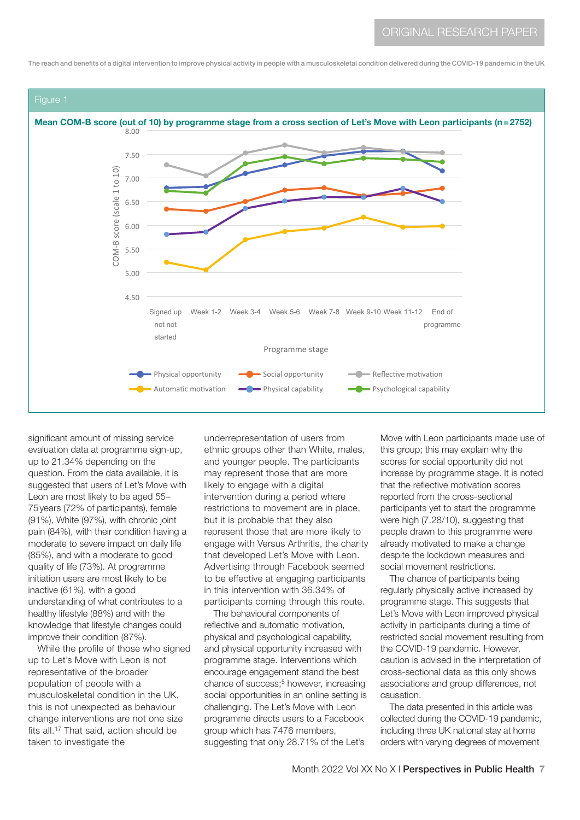

significant amount of missing service evaluation data at programme sign-up, up to 21.34% depending on the question. From the data available, it is suggested that users of Let's Move with Leon are most likely to be aged 55– 75years (72% of participants), female (91%), White (97%), with chronic joint pain (84%), with their condition having a moderate to severe impact on daily life (85%), and with a moderate to good quality of life (73%). At programme initiation users are most likely to be inactive (61%), with a good understanding of what contributes to a healthy lifestyle (88%) and with the knowledge that lifestyle changes could improve their condition (87%).

While the profile of those who signed up to Let's Move with Leon is not representative of the broader population of people with a musculoskeletal condition in the UK, this is not unexpected as behaviour change interventions are not one size fits all.17 That said, action should be taken to investigate the

underrepresentation of users from ethnic groups other than White, males, and younger people. The participants may represent those that are more likely to engage with a digital intervention during a period where restrictions to movement are in place, but it is probable that they also represent those that are more likely to engage with Versus Arthritis, the charity that developed Let's Move with Leon. Advertising through Facebook seemed to be effective at engaging participants in this intervention with 36.34% of participants coming through this route.

The behavioural components of reflective and automatic motivation, physical and psychological capability, and physical opportunity increased with programme stage. Interventions which encourage engagement stand the best chance of success;<sup>5</sup> however, increasing social opportunities in an online setting is challenging. The Let's Move with Leon programme directs users to a Facebook group which has 7476 members, suggesting that only 28.71% of the Let's

Move with Leon participants made use of this group; this may explain why the scores for social opportunity did not increase by programme stage. It is noted that the reflective motivation scores reported from the cross-sectional participants yet to start the programme were high (7.28/10), suggesting that people drawn to this programme were already motivated to make a change despite the lockdown measures and social movement restrictions.

The chance of participants being regularly physically active increased by programme stage. This suggests that Let's Move with Leon improved physical activity in participants during a time of restricted social movement resulting from the COVID-19 pandemic. However, caution is advised in the interpretation of cross-sectional data as this only shows associations and group differences, not causation.

The data presented in this article was collected during the COVID-19 pandemic, including three UK national stay at home orders with varying degrees of movement